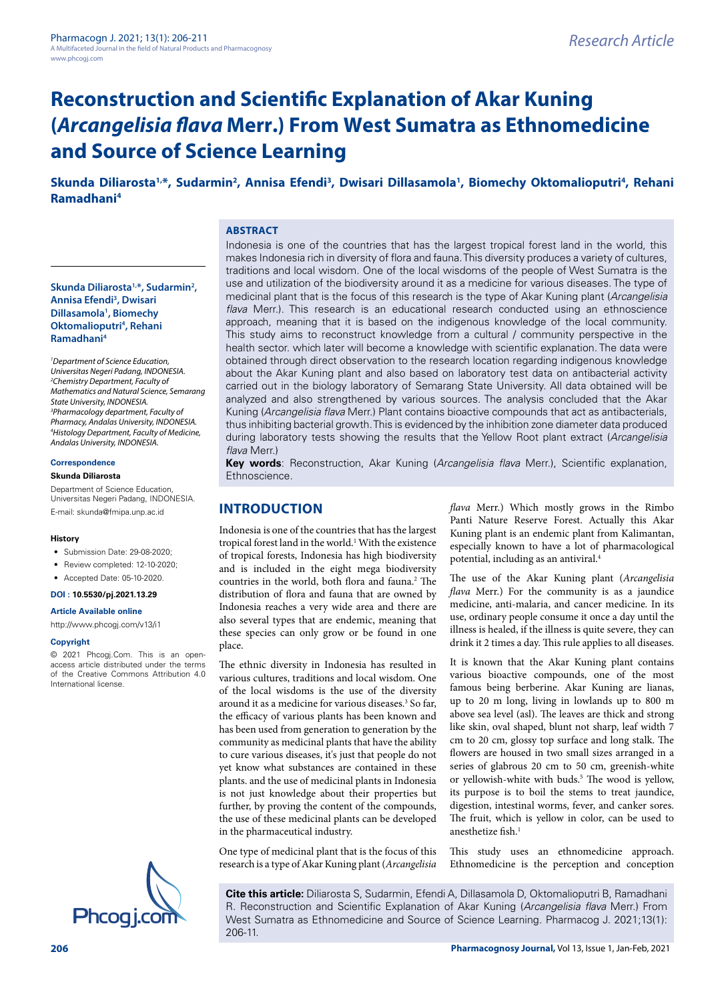## Skunda Diliarosta<sup>1,\*</sup>, Sudarmin<sup>2</sup>, Annisa Efendi<sup>3</sup>, Dwisari Dillasamola<sup>1</sup>, Biomechy Oktomalioputri<sup>4</sup>, Rehani **Ramadhani4**

#### **ABSTRACT**

**Skunda Diliarosta1,\*, Sudarmin2 , Annisa Efendi3 , Dwisari Dillasamola1 , Biomechy Oktomalioputri4 , Rehani Ramadhani4**

*1 Department of Science Education, Universitas Negeri Padang, INDONESIA. 2 Chemistry Department, Faculty of Mathematics and Natural Science, Semarang State University, INDONESIA. 3 Pharmacology department, Faculty of Pharmacy, Andalas University, INDONESIA. 4 Histology Department, Faculty of Medicine, Andalas University, INDONESIA.*

# **Correspondence**

#### **Skunda Diliarosta**

Department of Science Education, Universitas Negeri Padang, INDONESIA. E-mail: [skunda@fmipa.unp.ac.id](mailto:skunda@fmipa.unp.ac.id)

#### **History**

- Submission Date: 29-08-2020:
- Review completed: 12-10-2020;
- Accepted Date: 05-10-2020.

#### **DOI : 10.5530/pj.2021.13.29**

#### **Article Available online**

<http://www.phcogj.com/v13/i1>

#### **Copyright**

© 2021 Phcogj.Com. This is an openaccess article distributed under the terms of the Creative Commons Attribution 4.0 International license.



Indonesia is one of the countries that has the largest tropical forest land in the world, this makes Indonesia rich in diversity of flora and fauna. This diversity produces a variety of cultures, traditions and local wisdom. One of the local wisdoms of the people of West Sumatra is the use and utilization of the biodiversity around it as a medicine for various diseases. The type of medicinal plant that is the focus of this research is the type of Akar Kuning plant (*Arcangelisia flava* Merr.). This research is an educational research conducted using an ethnoscience approach, meaning that it is based on the indigenous knowledge of the local community. This study aims to reconstruct knowledge from a cultural / community perspective in the health sector. which later will become a knowledge with scientific explanation. The data were obtained through direct observation to the research location regarding indigenous knowledge about the Akar Kuning plant and also based on laboratory test data on antibacterial activity carried out in the biology laboratory of Semarang State University. All data obtained will be analyzed and also strengthened by various sources. The analysis concluded that the Akar Kuning (*Arcangelisia flava* Merr.) Plant contains bioactive compounds that act as antibacterials, thus inhibiting bacterial growth. This is evidenced by the inhibition zone diameter data produced during laboratory tests showing the results that the Yellow Root plant extract (*Arcangelisia flava* Merr.)

**Key words**: Reconstruction, Akar Kuning (*Arcangelisia flava* Merr.), Scientific explanation, Ethnoscience.

#### **INTRODUCTION**

Indonesia is one of the countries that has the largest tropical forest land in the world.<sup>1</sup> With the existence of tropical forests, Indonesia has high biodiversity and is included in the eight mega biodiversity countries in the world, both flora and fauna.<sup>2</sup> The distribution of flora and fauna that are owned by Indonesia reaches a very wide area and there are also several types that are endemic, meaning that these species can only grow or be found in one place.

The ethnic diversity in Indonesia has resulted in various cultures, traditions and local wisdom. One of the local wisdoms is the use of the diversity around it as a medicine for various diseases.<sup>3</sup> So far, the efficacy of various plants has been known and has been used from generation to generation by the community as medicinal plants that have the ability to cure various diseases, it's just that people do not yet know what substances are contained in these plants. and the use of medicinal plants in Indonesia is not just knowledge about their properties but further, by proving the content of the compounds, the use of these medicinal plants can be developed in the pharmaceutical industry.

One type of medicinal plant that is the focus of this research is a type of Akar Kuning plant (*Arcangelisia*  *flava* Merr.) Which mostly grows in the Rimbo Panti Nature Reserve Forest. Actually this Akar Kuning plant is an endemic plant from Kalimantan, especially known to have a lot of pharmacological potential, including as an antiviral.4

The use of the Akar Kuning plant (*Arcangelisia flava* Merr.) For the community is as a jaundice medicine, anti-malaria, and cancer medicine. In its use, ordinary people consume it once a day until the illness is healed, if the illness is quite severe, they can drink it 2 times a day. This rule applies to all diseases.

It is known that the Akar Kuning plant contains various bioactive compounds, one of the most famous being berberine. Akar Kuning are lianas, up to 20 m long, living in lowlands up to 800 m above sea level (asl). The leaves are thick and strong like skin, oval shaped, blunt not sharp, leaf width 7 cm to 20 cm, glossy top surface and long stalk. The flowers are housed in two small sizes arranged in a series of glabrous 20 cm to 50 cm, greenish-white or yellowish-white with buds.<sup>5</sup> The wood is yellow, its purpose is to boil the stems to treat jaundice, digestion, intestinal worms, fever, and canker sores. The fruit, which is yellow in color, can be used to anesthetize fish.<sup>1</sup>

This study uses an ethnomedicine approach. Ethnomedicine is the perception and conception

**Cite this article:** Diliarosta S, Sudarmin, Efendi A, Dillasamola D, Oktomalioputri B, Ramadhani R. Reconstruction and Scientific Explanation of Akar Kuning (*Arcangelisia flava* Merr.) From West Sumatra as Ethnomedicine and Source of Science Learning. Pharmacog J. 2021;13(1): 206-11.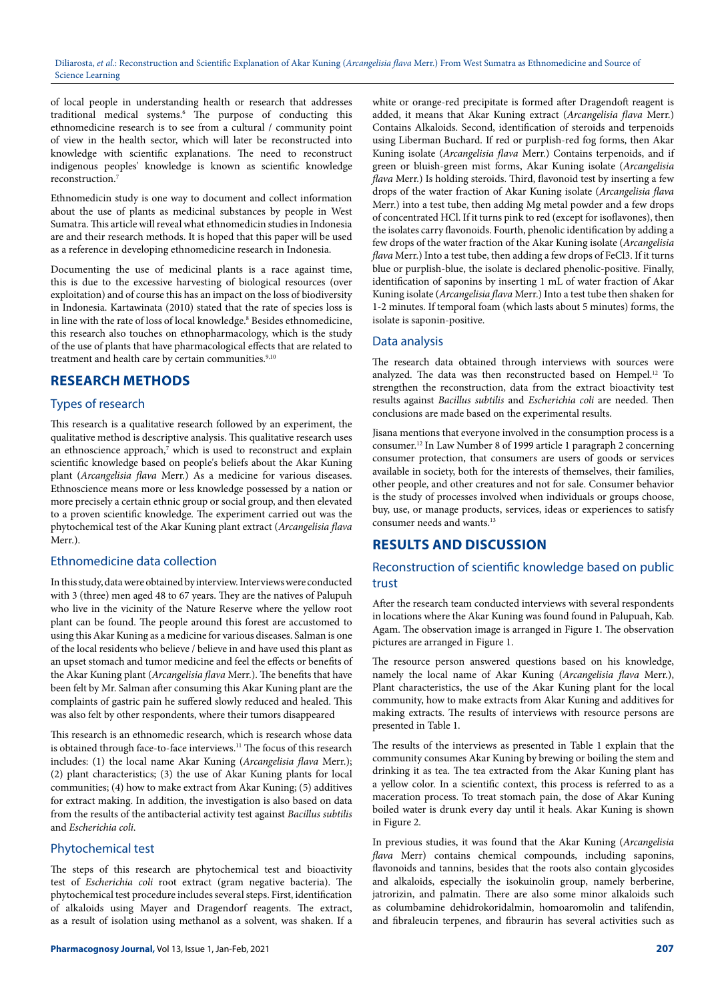of local people in understanding health or research that addresses traditional medical systems.6 The purpose of conducting this ethnomedicine research is to see from a cultural / community point of view in the health sector, which will later be reconstructed into knowledge with scientific explanations. The need to reconstruct indigenous peoples' knowledge is known as scientific knowledge reconstruction.7

Ethnomedicin study is one way to document and collect information about the use of plants as medicinal substances by people in West Sumatra. This article will reveal what ethnomedicin studies in Indonesia are and their research methods. It is hoped that this paper will be used as a reference in developing ethnomedicine research in Indonesia.

Documenting the use of medicinal plants is a race against time, this is due to the excessive harvesting of biological resources (over exploitation) and of course this has an impact on the loss of biodiversity in Indonesia. Kartawinata (2010) stated that the rate of species loss is in line with the rate of loss of local knowledge.<sup>8</sup> Besides ethnomedicine, this research also touches on ethnopharmacology, which is the study of the use of plants that have pharmacological effects that are related to treatment and health care by certain communities.<sup>9,10</sup>

# **RESEARCH METHODS**

## Types of research

This research is a qualitative research followed by an experiment, the qualitative method is descriptive analysis. This qualitative research uses an ethnoscience approach, $7$  which is used to reconstruct and explain scientific knowledge based on people's beliefs about the Akar Kuning plant (*Arcangelisia flava* Merr.) As a medicine for various diseases. Ethnoscience means more or less knowledge possessed by a nation or more precisely a certain ethnic group or social group, and then elevated to a proven scientific knowledge. The experiment carried out was the phytochemical test of the Akar Kuning plant extract (*Arcangelisia flava* Merr.).

#### Ethnomedicine data collection

In this study, data were obtained by interview. Interviews were conducted with 3 (three) men aged 48 to 67 years. They are the natives of Palupuh who live in the vicinity of the Nature Reserve where the yellow root plant can be found. The people around this forest are accustomed to using this Akar Kuning as a medicine for various diseases. Salman is one of the local residents who believe / believe in and have used this plant as an upset stomach and tumor medicine and feel the effects or benefits of the Akar Kuning plant (*Arcangelisia flava* Merr.). The benefits that have been felt by Mr. Salman after consuming this Akar Kuning plant are the complaints of gastric pain he suffered slowly reduced and healed. This was also felt by other respondents, where their tumors disappeared

This research is an ethnomedic research, which is research whose data is obtained through face-to-face interviews.<sup>11</sup> The focus of this research includes: (1) the local name Akar Kuning (*Arcangelisia flava* Merr.); (2) plant characteristics; (3) the use of Akar Kuning plants for local communities; (4) how to make extract from Akar Kuning; (5) additives for extract making. In addition, the investigation is also based on data from the results of the antibacterial activity test against *Bacillus subtilis*  and *Escherichia coli*.

#### Phytochemical test

The steps of this research are phytochemical test and bioactivity test of *Escherichia coli* root extract (gram negative bacteria). The phytochemical test procedure includes several steps. First, identification of alkaloids using Mayer and Dragendorf reagents. The extract, as a result of isolation using methanol as a solvent, was shaken. If a

white or orange-red precipitate is formed after Dragendoft reagent is added, it means that Akar Kuning extract (*Arcangelisia flava* Merr.) Contains Alkaloids. Second, identification of steroids and terpenoids using Liberman Buchard. If red or purplish-red fog forms, then Akar Kuning isolate (*Arcangelisia flava* Merr.) Contains terpenoids, and if green or bluish-green mist forms, Akar Kuning isolate (*Arcangelisia flava* Merr.) Is holding steroids. Third, flavonoid test by inserting a few drops of the water fraction of Akar Kuning isolate (*Arcangelisia flava*  Merr.) into a test tube, then adding Mg metal powder and a few drops of concentrated HCl. If it turns pink to red (except for isoflavones), then the isolates carry flavonoids. Fourth, phenolic identification by adding a few drops of the water fraction of the Akar Kuning isolate (*Arcangelisia flava* Merr.) Into a test tube, then adding a few drops of FeCl3. If it turns blue or purplish-blue, the isolate is declared phenolic-positive. Finally, identification of saponins by inserting 1 mL of water fraction of Akar Kuning isolate (*Arcangelisia flava* Merr.) Into a test tube then shaken for 1-2 minutes. If temporal foam (which lasts about 5 minutes) forms, the isolate is saponin-positive.

#### Data analysis

The research data obtained through interviews with sources were analyzed. The data was then reconstructed based on Hempel.<sup>12</sup> To strengthen the reconstruction, data from the extract bioactivity test results against *Bacillus subtilis* and *Escherichia coli* are needed. Then conclusions are made based on the experimental results.

Jisana mentions that everyone involved in the consumption process is a consumer.12 In Law Number 8 of 1999 article 1 paragraph 2 concerning consumer protection, that consumers are users of goods or services available in society, both for the interests of themselves, their families, other people, and other creatures and not for sale. Consumer behavior is the study of processes involved when individuals or groups choose, buy, use, or manage products, services, ideas or experiences to satisfy consumer needs and wants.<sup>13</sup>

# **RESULTS AND DISCUSSION**

# Reconstruction of scientific knowledge based on public trust

After the research team conducted interviews with several respondents in locations where the Akar Kuning was found found in Palupuah, Kab. Agam. The observation image is arranged in Figure 1. The observation pictures are arranged in Figure 1.

The resource person answered questions based on his knowledge, namely the local name of Akar Kuning (*Arcangelisia flava* Merr.), Plant characteristics, the use of the Akar Kuning plant for the local community, how to make extracts from Akar Kuning and additives for making extracts. The results of interviews with resource persons are presented in Table 1.

The results of the interviews as presented in Table 1 explain that the community consumes Akar Kuning by brewing or boiling the stem and drinking it as tea. The tea extracted from the Akar Kuning plant has a yellow color. In a scientific context, this process is referred to as a maceration process. To treat stomach pain, the dose of Akar Kuning boiled water is drunk every day until it heals. Akar Kuning is shown in Figure 2.

In previous studies, it was found that the Akar Kuning (*Arcangelisia flava* Merr) contains chemical compounds, including saponins, flavonoids and tannins, besides that the roots also contain glycosides and alkaloids, especially the isokuinolin group, namely berberine, jatrorizin, and palmatin. There are also some minor alkaloids such as columbamine dehidrokoridalmin, homoaromolin and talifendin, and fibraleucin terpenes, and fibraurin has several activities such as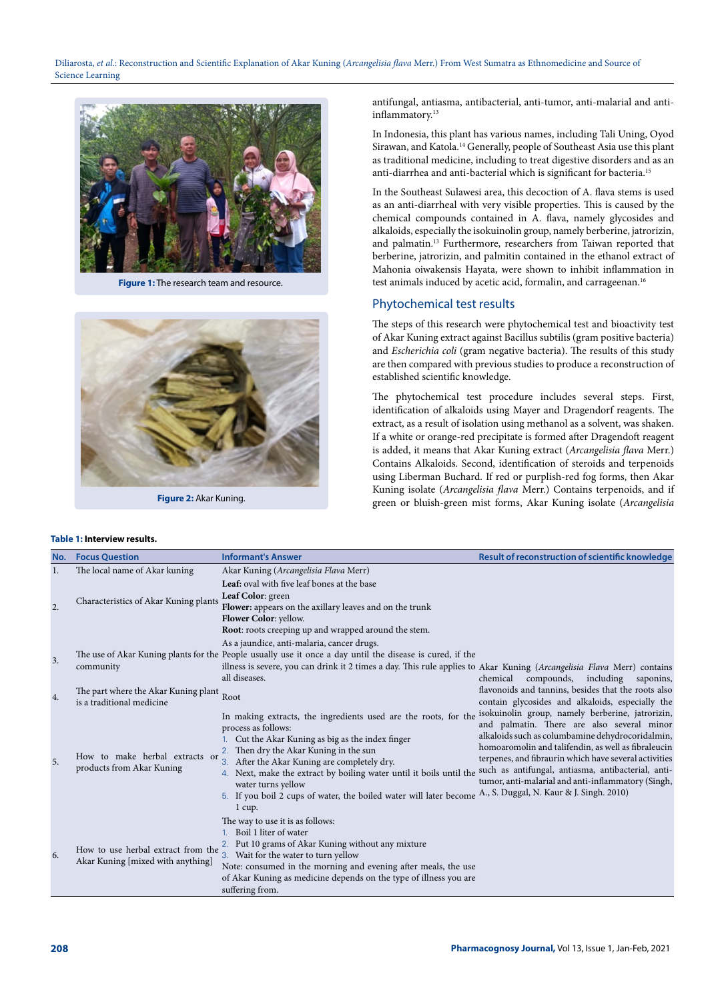

**Figure 1:** The research team and resource.



**Figure 2:** Akar Kuning.

#### **Table 1: Interview results.**

antifungal, antiasma, antibacterial, anti-tumor, anti-malarial and antiinflammatory.<sup>13</sup>

In Indonesia, this plant has various names, including Tali Uning, Oyod Sirawan, and Katola.14 Generally, people of Southeast Asia use this plant as traditional medicine, including to treat digestive disorders and as an anti-diarrhea and anti-bacterial which is significant for bacteria.15

In the Southeast Sulawesi area, this decoction of A. flava stems is used as an anti-diarrheal with very visible properties. This is caused by the chemical compounds contained in A. flava, namely glycosides and alkaloids, especially the isokuinolin group, namely berberine, jatrorizin, and palmatin.13 Furthermore, researchers from Taiwan reported that berberine, jatrorizin, and palmitin contained in the ethanol extract of Mahonia oiwakensis Hayata, were shown to inhibit inflammation in test animals induced by acetic acid, formalin, and carrageenan.<sup>16</sup>

#### Phytochemical test results

The steps of this research were phytochemical test and bioactivity test of Akar Kuning extract against Bacillus subtilis (gram positive bacteria) and *Escherichia coli* (gram negative bacteria). The results of this study are then compared with previous studies to produce a reconstruction of established scientific knowledge.

The phytochemical test procedure includes several steps. First, identification of alkaloids using Mayer and Dragendorf reagents. The extract, as a result of isolation using methanol as a solvent, was shaken. If a white or orange-red precipitate is formed after Dragendoft reagent is added, it means that Akar Kuning extract (*Arcangelisia flava* Merr.) Contains Alkaloids. Second, identification of steroids and terpenoids using Liberman Buchard. If red or purplish-red fog forms, then Akar Kuning isolate (*Arcangelisia flava* Merr.) Contains terpenoids, and if green or bluish-green mist forms, Akar Kuning isolate (*Arcangelisia* 

| No.              | <b>Focus Question</b>                                                   | <b>Informant's Answer</b>                                                                                                                                                                                                                                                                                                                                                                                                                                | Result of reconstruction of scientific knowledge                                                                                                                                                                                                                                                                                                                               |  |  |  |
|------------------|-------------------------------------------------------------------------|----------------------------------------------------------------------------------------------------------------------------------------------------------------------------------------------------------------------------------------------------------------------------------------------------------------------------------------------------------------------------------------------------------------------------------------------------------|--------------------------------------------------------------------------------------------------------------------------------------------------------------------------------------------------------------------------------------------------------------------------------------------------------------------------------------------------------------------------------|--|--|--|
| 1.               | The local name of Akar kuning                                           | Akar Kuning (Arcangelisia Flava Merr)                                                                                                                                                                                                                                                                                                                                                                                                                    |                                                                                                                                                                                                                                                                                                                                                                                |  |  |  |
| $\overline{2}$ . | Characteristics of Akar Kuning plants                                   | Leaf: oval with five leaf bones at the base<br>Leaf Color: green<br>Flower: appears on the axillary leaves and on the trunk<br>Flower Color: yellow.                                                                                                                                                                                                                                                                                                     |                                                                                                                                                                                                                                                                                                                                                                                |  |  |  |
| 3.               | community                                                               | Root: roots creeping up and wrapped around the stem.<br>As a jaundice, anti-malaria, cancer drugs.<br>The use of Akar Kuning plants for the People usually use it once a day until the disease is cured, if the<br>illness is severe, you can drink it 2 times a day. This rule applies to Akar Kuning (Arcangelisia Flava Merr) contains<br>all diseases.                                                                                               | compounds,<br>including<br>chemical<br>saponins,                                                                                                                                                                                                                                                                                                                               |  |  |  |
| 4.               | The part where the Akar Kuning plant<br>is a traditional medicine       | Root                                                                                                                                                                                                                                                                                                                                                                                                                                                     | flavonoids and tannins, besides that the roots also<br>contain glycosides and alkaloids, especially the                                                                                                                                                                                                                                                                        |  |  |  |
| 5.               | How to make herbal extracts or<br>products from Akar Kuning             | In making extracts, the ingredients used are the roots, for the<br>process as follows:<br>Cut the Akar Kuning as big as the index finger<br>2. Then dry the Akar Kuning in the sun<br>3. After the Akar Kuning are completely dry.<br>4. Next, make the extract by boiling water until it boils until the<br>water turns yellow<br>5. If you boil 2 cups of water, the boiled water will later become A., S. Duggal, N. Kaur & J. Singh. 2010)<br>1 cup. | isokuinolin group, namely berberine, jatrorizin,<br>and palmatin. There are also several minor<br>alkaloids such as columbamine dehydrocoridalmin,<br>homoaromolin and talifendin, as well as fibraleucin<br>terpenes, and fibraurin which have several activities<br>such as antifungal, antiasma, antibacterial, anti-<br>tumor, anti-malarial and anti-inflammatory (Singh, |  |  |  |
| 6.               | How to use herbal extract from the<br>Akar Kuning [mixed with anything] | The way to use it is as follows:<br>1. Boil 1 liter of water<br>2. Put 10 grams of Akar Kuning without any mixture<br>3. Wait for the water to turn yellow<br>Note: consumed in the morning and evening after meals, the use<br>of Akar Kuning as medicine depends on the type of illness you are<br>suffering from.                                                                                                                                     |                                                                                                                                                                                                                                                                                                                                                                                |  |  |  |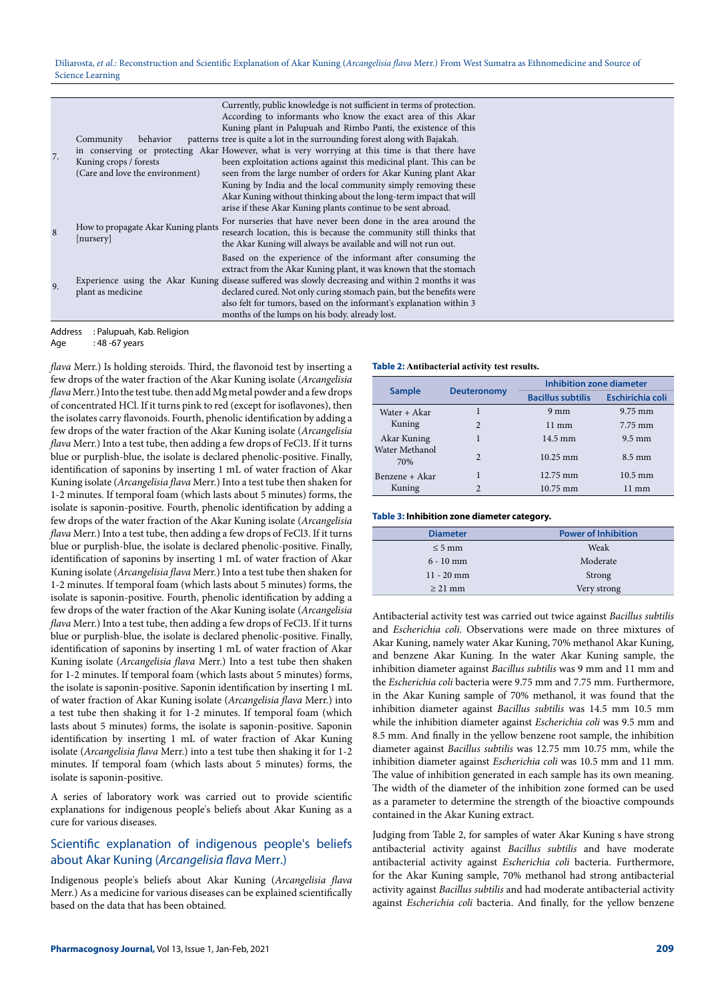| 7. | Community<br>behavior<br>Kuning crops / forests<br>(Care and love the environment) | Currently, public knowledge is not sufficient in terms of protection.<br>According to informants who know the exact area of this Akar<br>Kuning plant in Palupuah and Rimbo Panti, the existence of this<br>patterns tree is quite a lot in the surrounding forest along with Bajakah.<br>in conserving or protecting Akar However, what is very worrying at this time is that there have<br>been exploitation actions against this medicinal plant. This can be<br>seen from the large number of orders for Akar Kuning plant Akar<br>Kuning by India and the local community simply removing these<br>Akar Kuning without thinking about the long-term impact that will<br>arise if these Akar Kuning plants continue to be sent abroad. |
|----|------------------------------------------------------------------------------------|--------------------------------------------------------------------------------------------------------------------------------------------------------------------------------------------------------------------------------------------------------------------------------------------------------------------------------------------------------------------------------------------------------------------------------------------------------------------------------------------------------------------------------------------------------------------------------------------------------------------------------------------------------------------------------------------------------------------------------------------|
|    | How to propagate Akar Kuning plants<br>[nursery]                                   | For nurseries that have never been done in the area around the<br>research location, this is because the community still thinks that<br>the Akar Kuning will always be available and will not run out.                                                                                                                                                                                                                                                                                                                                                                                                                                                                                                                                     |
| 9. | plant as medicine                                                                  | Based on the experience of the informant after consuming the<br>extract from the Akar Kuning plant, it was known that the stomach<br>Experience using the Akar Kuning disease suffered was slowly decreasing and within 2 months it was<br>declared cured. Not only curing stomach pain, but the benefits were<br>also felt for tumors, based on the informant's explanation within 3<br>months of the lumps on his body, already lost.                                                                                                                                                                                                                                                                                                    |

Address : Palupuah, Kab. Religion

*flava* Merr.) Is holding steroids. Third, the flavonoid test by inserting a **Table 2: Antibacterial activity test results.** few drops of the water fraction of the Akar Kuning isolate (*Arcangelisia flava* Merr.) Into the test tube. then add Mg metal powder and a few drops of concentrated HCl. If it turns pink to red (except for isoflavones), then the isolates carry flavonoids. Fourth, phenolic identification by adding a few drops of the water fraction of the Akar Kuning isolate (*Arcangelisia flava* Merr.) Into a test tube, then adding a few drops of FeCl3. If it turns blue or purplish-blue, the isolate is declared phenolic-positive. Finally, identification of saponins by inserting 1 mL of water fraction of Akar Kuning isolate (*Arcangelisia flava* Merr.) Into a test tube then shaken for 1-2 minutes. If temporal foam (which lasts about 5 minutes) forms, the isolate is saponin-positive. Fourth, phenolic identification by adding a few drops of the water fraction of the Akar Kuning isolate (*Arcangelisia flava* Merr.) Into a test tube, then adding a few drops of FeCl3. If it turns blue or purplish-blue, the isolate is declared phenolic-positive. Finally, identification of saponins by inserting 1 mL of water fraction of Akar Kuning isolate (*Arcangelisia flava* Merr.) Into a test tube then shaken for 1-2 minutes. If temporal foam (which lasts about 5 minutes) forms, the isolate is saponin-positive. Fourth, phenolic identification by adding a few drops of the water fraction of the Akar Kuning isolate (*Arcangelisia flava* Merr.) Into a test tube, then adding a few drops of FeCl3. If it turns blue or purplish-blue, the isolate is declared phenolic-positive. Finally, identification of saponins by inserting 1 mL of water fraction of Akar Kuning isolate (*Arcangelisia flava* Merr.) Into a test tube then shaken for 1-2 minutes. If temporal foam (which lasts about 5 minutes) forms, the isolate is saponin-positive. Saponin identification by inserting 1 mL of water fraction of Akar Kuning isolate (*Arcangelisia flava* Merr.) into a test tube then shaking it for 1-2 minutes. If temporal foam (which lasts about 5 minutes) forms, the isolate is saponin-positive. Saponin identification by inserting 1 mL of water fraction of Akar Kuning isolate (*Arcangelisia flava* Merr.) into a test tube then shaking it for 1-2 minutes. If temporal foam (which lasts about 5 minutes) forms, the isolate is saponin-positive.

A series of laboratory work was carried out to provide scientific explanations for indigenous people's beliefs about Akar Kuning as a cure for various diseases.

#### Scientific explanation of indigenous people's beliefs about Akar Kuning (*Arcangelisia flava* Merr.)

Indigenous people's beliefs about Akar Kuning (*Arcangelisia flava*  Merr.) As a medicine for various diseases can be explained scientifically based on the data that has been obtained.

| <b>Sample</b>         | <b>Deuteronomy</b> | Inhibition zone diameter |                         |
|-----------------------|--------------------|--------------------------|-------------------------|
|                       |                    | <b>Bacillus subtilis</b> | <b>Eschirichia coli</b> |
| Water + Akar          |                    | $9 \text{ mm}$           | $9.75$ mm               |
| Kuning                | $\mathfrak{D}$     | $11 \text{ mm}$          | 7.75 mm                 |
| Akar Kuning           |                    | $14.5 \text{ mm}$        | $9.5 \text{ mm}$        |
| Water Methanol<br>70% | $\mathcal{P}$      | $10.25 \text{ mm}$       | $8.5 \text{ mm}$        |
| Benzene + Akar        |                    | $12.75 \text{ mm}$       | $10.5 \text{ mm}$       |
| Kuning                | $\mathfrak{D}$     | $10.75 \text{ mm}$       | $11 \text{ mm}$         |

#### **Table 3: Inhibition zone diameter category.**

| <b>Diameter</b> | <b>Power of Inhibition</b> |
|-----------------|----------------------------|
| $\leq 5$ mm     | Weak                       |
| $6 - 10$ mm     | Moderate                   |
| $11 - 20$ mm    | Strong                     |
| $\geq$ 21 mm    | Very strong                |

Antibacterial activity test was carried out twice against *Bacillus subtilis*  and *Escherichia coli*. Observations were made on three mixtures of Akar Kuning, namely water Akar Kuning, 70% methanol Akar Kuning, and benzene Akar Kuning. In the water Akar Kuning sample, the inhibition diameter against *Bacillus subtilis* was 9 mm and 11 mm and the *Escherichia coli* bacteria were 9.75 mm and 7.75 mm. Furthermore, in the Akar Kuning sample of 70% methanol, it was found that the inhibition diameter against *Bacillus subtilis* was 14.5 mm 10.5 mm while the inhibition diameter against *Escherichia coli* was 9.5 mm and 8.5 mm. And finally in the yellow benzene root sample, the inhibition diameter against *Bacillus subtilis* was 12.75 mm 10.75 mm, while the inhibition diameter against *Escherichia coli* was 10.5 mm and 11 mm. The value of inhibition generated in each sample has its own meaning. The width of the diameter of the inhibition zone formed can be used as a parameter to determine the strength of the bioactive compounds contained in the Akar Kuning extract.

Judging from Table 2, for samples of water Akar Kuning s have strong antibacterial activity against *Bacillus subtilis* and have moderate antibacterial activity against *Escherichia coli* bacteria. Furthermore, for the Akar Kuning sample, 70% methanol had strong antibacterial activity against *Bacillus subtilis* and had moderate antibacterial activity against *Escherichia coli* bacteria. And finally, for the yellow benzene

Age : 48 -67 years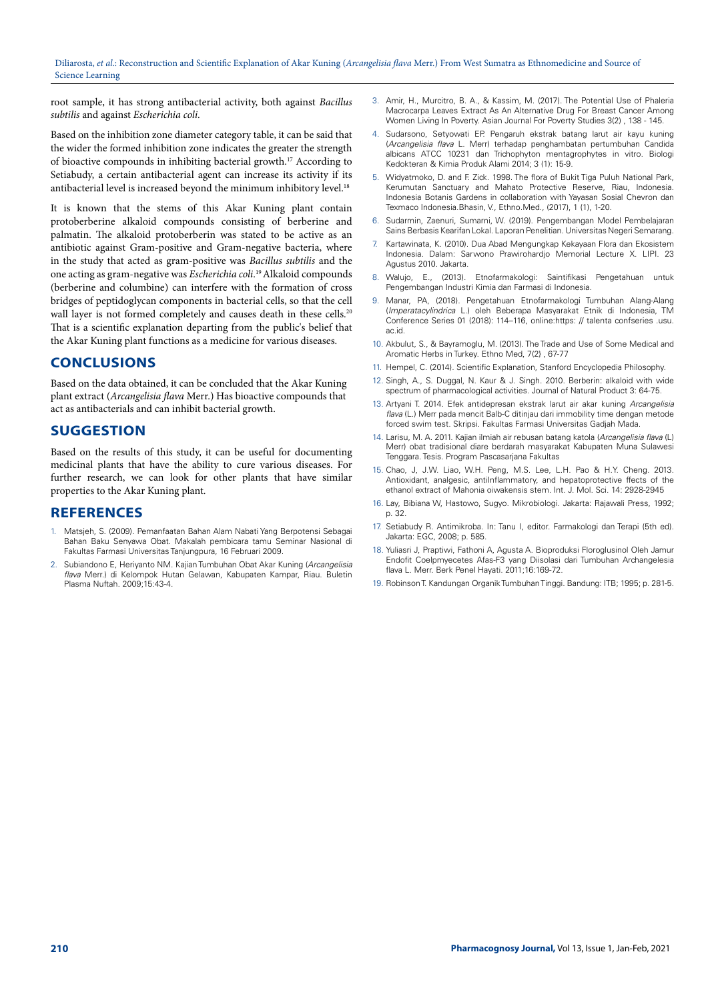root sample, it has strong antibacterial activity, both against *Bacillus subtilis* and against *Escherichia coli*.

Based on the inhibition zone diameter category table, it can be said that the wider the formed inhibition zone indicates the greater the strength of bioactive compounds in inhibiting bacterial growth.<sup>17</sup> According to Setiabudy, a certain antibacterial agent can increase its activity if its antibacterial level is increased beyond the minimum inhibitory level.<sup>18</sup>

It is known that the stems of this Akar Kuning plant contain protoberberine alkaloid compounds consisting of berberine and palmatin. The alkaloid protoberberin was stated to be active as an antibiotic against Gram-positive and Gram-negative bacteria, where in the study that acted as gram-positive was *Bacillus subtilis* and the one acting as gram-negative was *Escherichia coli*. 19 Alkaloid compounds (berberine and columbine) can interfere with the formation of cross bridges of peptidoglycan components in bacterial cells, so that the cell wall layer is not formed completely and causes death in these cells.<sup>20</sup> That is a scientific explanation departing from the public's belief that the Akar Kuning plant functions as a medicine for various diseases.

# **CONCLUSIONS**

Based on the data obtained, it can be concluded that the Akar Kuning plant extract (*Arcangelisia flava* Merr.) Has bioactive compounds that act as antibacterials and can inhibit bacterial growth.

#### **SUGGESTION**

Based on the results of this study, it can be useful for documenting medicinal plants that have the ability to cure various diseases. For further research, we can look for other plants that have similar properties to the Akar Kuning plant.

#### **REFERENCES**

- 1. Matsjeh, S. (2009). Pemanfaatan Bahan Alam Nabati Yang Berpotensi Sebagai Bahan Baku Senyawa Obat. Makalah pembicara tamu Seminar Nasional di Fakultas Farmasi Universitas Tanjungpura, 16 Februari 2009.
- 2. Subiandono E, Heriyanto NM. Kajian Tumbuhan Obat Akar Kuning (*Arcangelisia flava* Merr.) di Kelompok Hutan Gelawan, Kabupaten Kampar, Riau. Buletin Plasma Nuftah. 2009;15:43-4.
- 3. Amir, H., Murcitro, B. A., & Kassim, M. (2017). The Potential Use of Phaleria Macrocarpa Leaves Extract As An Alternative Drug For Breast Cancer Among Women Living In Poverty. Asian Journal For Poverty Studies 3(2) , 138 - 145.
- 4. Sudarsono, Setyowati EP. Pengaruh ekstrak batang larut air kayu kuning (*Arcangelisia flava* L. Merr) terhadap penghambatan pertumbuhan Candida albicans ATCC 10231 dan Trichophyton mentagrophytes in vitro. Biologi Kedokteran & Kimia Produk Alami 2014; 3 (1): 15-9.
- 5. Widyatmoko, D. and F. Zick. 1998. The flora of Bukit Tiga Puluh National Park, Kerumutan Sanctuary and Mahato Protective Reserve, Riau, Indonesia. Indonesia Botanis Gardens in collaboration with Yayasan Sosial Chevron dan Texmaco Indonesia.Bhasin, V., Ethno.Med., (2017), 1 (1), 1-20.
- 6. Sudarmin, Zaenuri, Sumarni, W. (2019). Pengembangan Model Pembelajaran Sains Berbasis Kearifan Lokal. Laporan Penelitian. Universitas Negeri Semarang.
- 7. Kartawinata, K. (2010). Dua Abad Mengungkap Kekayaan Flora dan Ekosistem Indonesia. Dalam: Sarwono Prawirohardjo Memorial Lecture X. LIPI. 23 Agustus 2010. Jakarta.
- 8. Walujo, E., (2013). Etnofarmakologi: Saintifikasi Pengetahuan untuk Pengembangan Industri Kimia dan Farmasi di Indonesia.
- 9. Manar, PA, (2018). Pengetahuan Etnofarmakologi Tumbuhan Alang-Alang (*Imperatacylindrica* L.) oleh Beberapa Masyarakat Etnik di Indonesia, TM Conference Series 01 (2018): 114–116, online:https: // talenta confseries .usu. ac.id.
- 10. Akbulut, S., & Bayramoglu, M. (2013). The Trade and Use of Some Medical and Aromatic Herbs in Turkey. Ethno Med, 7(2} , 67-77
- 11. Hempel, C. (2014). Scientific Explanation, Stanford Encyclopedia Philosophy.
- 12. Singh, A., S. Duggal, N. Kaur & J. Singh. 2010. Berberin: alkaloid with wide spectrum of pharmacological activities. Journal of Natural Product 3: 64-75.
- 13. Artyani T. 2014. Efek antidepresan ekstrak larut air akar kuning *Arcangelisia flava* (L.) Merr pada mencit Balb-C ditinjau dari immobility time dengan metode forced swim test. Skripsi. Fakultas Farmasi Universitas Gadjah Mada.
- 14. Larisu, M. A. 2011. Kajian ilmiah air rebusan batang katola (*Arcangelisia flava* (L) Merr) obat tradisional diare berdarah masyarakat Kabupaten Muna Sulawesi Tenggara. Tesis. Program Pascasarjana Fakultas
- 15. Chao, J, J.W. Liao, W.H. Peng, M.S. Lee, L.H. Pao & H.Y. Cheng. 2013. Antioxidant, analgesic, antiInflammatory, and hepatoprotective ffects of the ethanol extract of Mahonia oiwakensis stem. Int. J. Mol. Sci. 14: 2928-2945
- 16. Lay, Bibiana W, Hastowo, Sugyo. Mikrobiologi. Jakarta: Rajawali Press, 1992; p. 32.
- 17. Setiabudy R. Antimikroba. In: Tanu I, editor. Farmakologi dan Terapi (5th ed). Jakarta: EGC, 2008; p. 585.
- 18. Yuliasri J, Praptiwi, Fathoni A, Agusta A. Bioproduksi Floroglusinol Oleh Jamur Endofit Coelpmyecetes Afas-F3 yang Diisolasi dari Tumbuhan Archangelesia flava L. Merr. Berk Penel Hayati. 2011;16:169-72.
- 19. Robinson T. Kandungan Organik Tumbuhan Tinggi. Bandung: ITB; 1995; p. 281-5.